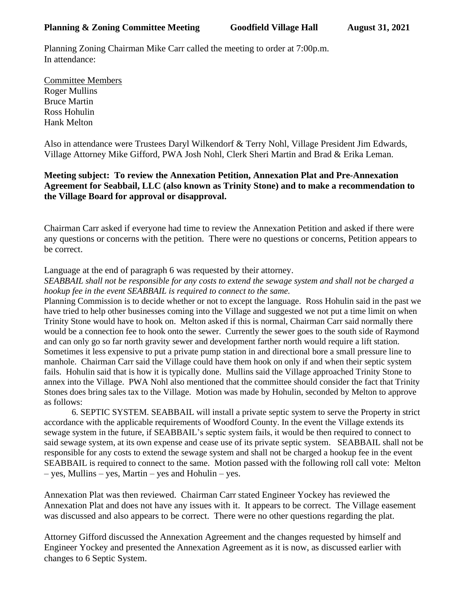Planning Zoning Chairman Mike Carr called the meeting to order at 7:00p.m. In attendance:

Committee Members Roger Mullins Bruce Martin Ross Hohulin Hank Melton

Also in attendance were Trustees Daryl Wilkendorf & Terry Nohl, Village President Jim Edwards, Village Attorney Mike Gifford, PWA Josh Nohl, Clerk Sheri Martin and Brad & Erika Leman.

## **Meeting subject: To review the Annexation Petition, Annexation Plat and Pre-Annexation Agreement for Seabbail, LLC (also known as Trinity Stone) and to make a recommendation to the Village Board for approval or disapproval.**

Chairman Carr asked if everyone had time to review the Annexation Petition and asked if there were any questions or concerns with the petition. There were no questions or concerns, Petition appears to be correct.

Language at the end of paragraph 6 was requested by their attorney.

*SEABBAIL shall not be responsible for any costs to extend the sewage system and shall not be charged a hookup fee in the event SEABBAIL is required to connect to the same.*

Planning Commission is to decide whether or not to except the language. Ross Hohulin said in the past we have tried to help other businesses coming into the Village and suggested we not put a time limit on when Trinity Stone would have to hook on. Melton asked if this is normal, Chairman Carr said normally there would be a connection fee to hook onto the sewer. Currently the sewer goes to the south side of Raymond and can only go so far north gravity sewer and development farther north would require a lift station. Sometimes it less expensive to put a private pump station in and directional bore a small pressure line to manhole. Chairman Carr said the Village could have them hook on only if and when their septic system fails. Hohulin said that is how it is typically done. Mullins said the Village approached Trinity Stone to annex into the Village. PWA Nohl also mentioned that the committee should consider the fact that Trinity Stones does bring sales tax to the Village. Motion was made by Hohulin, seconded by Melton to approve as follows:

6. SEPTIC SYSTEM. SEABBAIL will install a private septic system to serve the Property in strict accordance with the applicable requirements of Woodford County. In the event the Village extends its sewage system in the future, if SEABBAIL's septic system fails, it would be then required to connect to said sewage system, at its own expense and cease use of its private septic system. SEABBAIL shall not be responsible for any costs to extend the sewage system and shall not be charged a hookup fee in the event SEABBAIL is required to connect to the same. Motion passed with the following roll call vote: Melton – yes, Mullins – yes, Martin – yes and Hohulin – yes.

Annexation Plat was then reviewed. Chairman Carr stated Engineer Yockey has reviewed the Annexation Plat and does not have any issues with it. It appears to be correct. The Village easement was discussed and also appears to be correct. There were no other questions regarding the plat.

Attorney Gifford discussed the Annexation Agreement and the changes requested by himself and Engineer Yockey and presented the Annexation Agreement as it is now, as discussed earlier with changes to 6 Septic System.